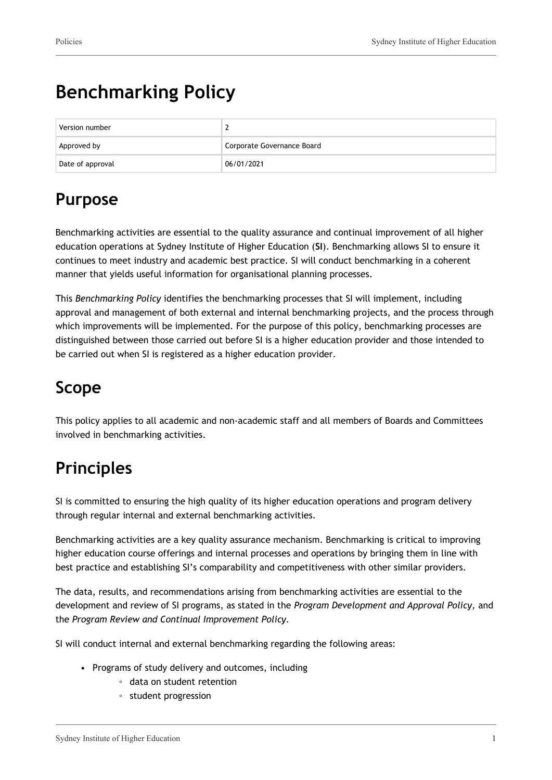# **Benchmarking Policy**

| Version number   |                            |
|------------------|----------------------------|
| Approved by      | Corporate Governance Board |
| Date of approval | 06/01/2021                 |

## **Purpose**

Benchmarking activities are essential to the quality assurance and continual improvement of all higher education operations at Sydney Institute of Higher Education (**SI**). Benchmarking allows SI to ensure it continues to meet industry and academic best practice. SI will conduct benchmarking in a coherent manner that yields useful information for organisational planning processes.

This *Benchmarking Policy* identifies the benchmarking processes that SI will implement, including approval and management of both external and internal benchmarking projects, and the process through which improvements will be implemented. For the purpose of this policy, benchmarking processes are distinguished between those carried out before SI is a higher education provider and those intended to be carried out when SI is registered as a higher education provider.

## **Scope**

This policy applies to all academic and non-academic staff and all members of Boards and Committees involved in benchmarking activities.

## **Principles**

SI is committed to ensuring the high quality of its higher education operations and program delivery through regular internal and external benchmarking activities.

Benchmarking activities are a key quality assurance mechanism. Benchmarking is critical to improving higher education course offerings and internal processes and operations by bringing them in line with best practice and establishing SI's comparability and competitiveness with other similar providers.

The data, results, and recommendations arising from benchmarking activities are essential to the development and review of SI programs, as stated in the *Program Development and Approval Policy,* and the *Program Review and Continual Improvement Policy.*

SI will conduct internal and external benchmarking regarding the following areas:

- Programs of study delivery and outcomes, including
	- data on student retention
	- student progression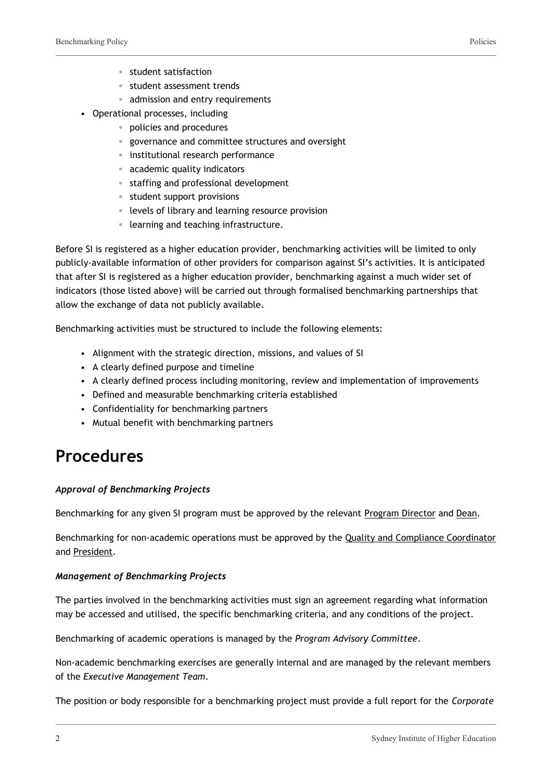- student satisfaction
- student assessment trends
- admission and entry requirements
- Operational processes, including
	- policies and procedures
	- governance and committee structures and oversight
	- institutional research performance
	- academic quality indicators
	- staffing and professional development
	- student support provisions
	- levels of library and learning resource provision
	- learning and teaching infrastructure.

Before SI is registered as a higher education provider, benchmarking activities will be limited to only publicly-available information of other providers for comparison against SI's activities. It is anticipated that after SI is registered as a higher education provider, benchmarking against a much wider set of indicators (those listed above) will be carried out through formalised benchmarking partnerships that allow the exchange of data not publicly available.

Benchmarking activities must be structured to include the following elements:

- Alignment with the strategic direction, missions, and values of SI
- A clearly defined purpose and timeline
- A clearly defined process including monitoring, review and implementation of improvements
- Defined and measurable benchmarking criteria established
- Confidentiality for benchmarking partners
- Mutual benefit with benchmarking partners

### **Procedures**

#### *Approval of Benchmarking Projects*

Benchmarking for any given SI program must be approved by the relevant Program Director and Dean.

Benchmarking for non-academic operations must be approved by the Quality and Compliance Coordinator and President.

#### *Management of Benchmarking Projects*

The parties involved in the benchmarking activities must sign an agreement regarding what information may be accessed and utilised, the specific benchmarking criteria, and any conditions of the project.

Benchmarking of academic operations is managed by the *Program Advisory Committee*.

Non-academic benchmarking exercises are generally internal and are managed by the relevant members of the *Executive Management Team*.

The position or body responsible for a benchmarking project must provide a full report for the *Corporate*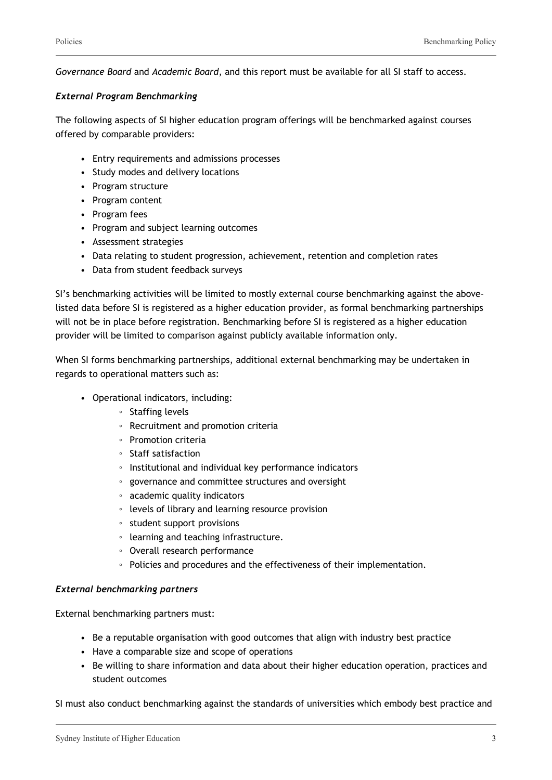*Governance Board* and *Academic Board*, and this report must be available for all SI staff to access.

#### *External Program Benchmarking*

The following aspects of SI higher education program offerings will be benchmarked against courses offered by comparable providers:

- Entry requirements and admissions processes
- Study modes and delivery locations
- Program structure
- Program content
- Program fees
- Program and subject learning outcomes
- Assessment strategies
- Data relating to student progression, achievement, retention and completion rates
- Data from student feedback surveys

SI's benchmarking activities will be limited to mostly external course benchmarking against the abovelisted data before SI is registered as a higher education provider, as formal benchmarking partnerships will not be in place before registration. Benchmarking before SI is registered as a higher education provider will be limited to comparison against publicly available information only.

When SI forms benchmarking partnerships, additional external benchmarking may be undertaken in regards to operational matters such as:

- Operational indicators, including:
	- Staffing levels
	- Recruitment and promotion criteria
	- Promotion criteria
	- Staff satisfaction
	- Institutional and individual key performance indicators
	- governance and committee structures and oversight
	- academic quality indicators
	- levels of library and learning resource provision
	- student support provisions
	- learning and teaching infrastructure.
	- Overall research performance
	- Policies and procedures and the effectiveness of their implementation.

#### *External benchmarking partners*

External benchmarking partners must:

- Be a reputable organisation with good outcomes that align with industry best practice
- Have a comparable size and scope of operations
- Be willing to share information and data about their higher education operation, practices and student outcomes

SI must also conduct benchmarking against the standards of universities which embody best practice and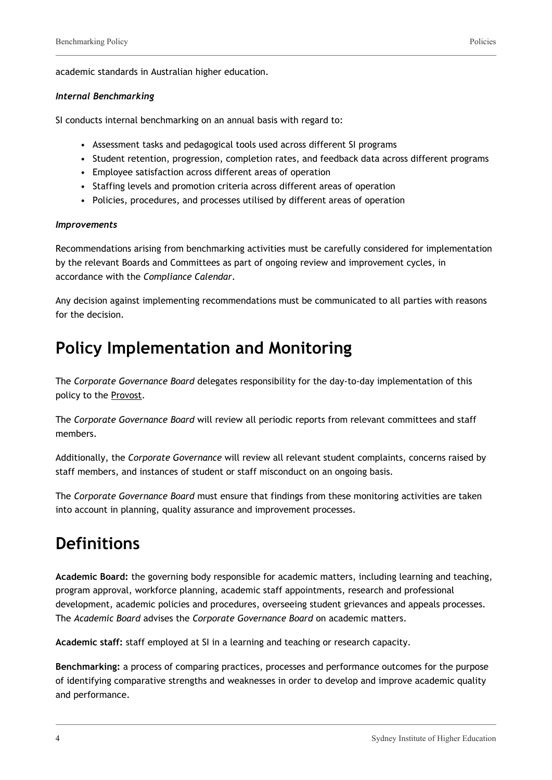academic standards in Australian higher education.

#### *Internal Benchmarking*

SI conducts internal benchmarking on an annual basis with regard to:

- Assessment tasks and pedagogical tools used across different SI programs
- Student retention, progression, completion rates, and feedback data across different programs
- Employee satisfaction across different areas of operation
- Staffing levels and promotion criteria across different areas of operation
- Policies, procedures, and processes utilised by different areas of operation

#### *Improvements*

Recommendations arising from benchmarking activities must be carefully considered for implementation by the relevant Boards and Committees as part of ongoing review and improvement cycles, in accordance with the *Compliance Calendar*.

Any decision against implementing recommendations must be communicated to all parties with reasons for the decision.

### **Policy Implementation and Monitoring**

The *Corporate Governance Board* delegates responsibility for the day-to-day implementation of this policy to the Provost.

The *Corporate Governance Board* will review all periodic reports from relevant committees and staff members.

Additionally, the *Corporate Governance* will review all relevant student complaints, concerns raised by staff members, and instances of student or staff misconduct on an ongoing basis.

The *Corporate Governance Board* must ensure that findings from these monitoring activities are taken into account in planning, quality assurance and improvement processes.

### **Definitions**

**Academic Board:** the governing body responsible for academic matters, including learning and teaching, program approval, workforce planning, academic staff appointments, research and professional development, academic policies and procedures, overseeing student grievances and appeals processes. The *Academic Board* advises the *Corporate Governance Board* on academic matters.

**Academic staff:** staff employed at SI in a learning and teaching or research capacity.

**Benchmarking:** a process of comparing practices, processes and performance outcomes for the purpose of identifying comparative strengths and weaknesses in order to develop and improve academic quality and performance.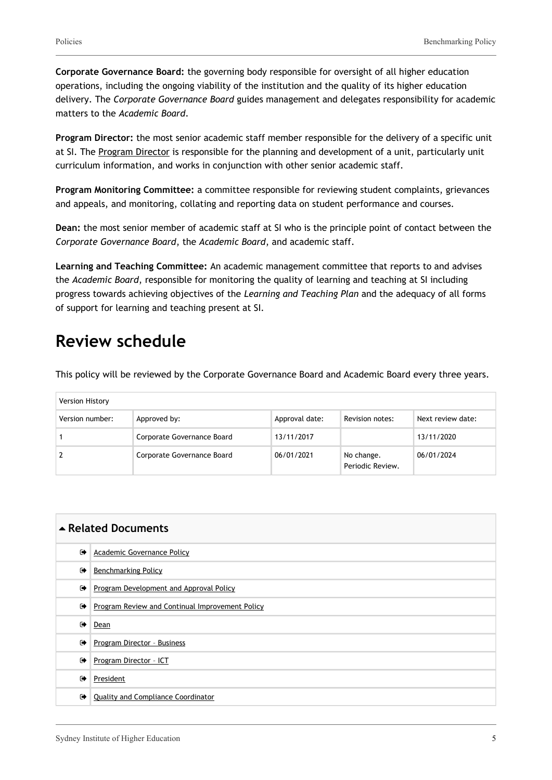**Corporate Governance Board:** the governing body responsible for oversight of all higher education operations, including the ongoing viability of the institution and the quality of its higher education delivery. The *Corporate Governance Board* guides management and delegates responsibility for academic matters to the *Academic Board*.

**Program Director:** the most senior academic staff member responsible for the delivery of a specific unit at SI. The Program Director is responsible for the planning and development of a unit, particularly unit curriculum information, and works in conjunction with other senior academic staff.

**Program Monitoring Committee:** a committee responsible for reviewing student complaints, grievances and appeals, and monitoring, collating and reporting data on student performance and courses.

**Dean:** the most senior member of academic staff at SI who is the principle point of contact between the *Corporate Governance Board*, the *Academic Board*, and academic staff.

**Learning and Teaching Committee:** An academic management committee that reports to and advises the *Academic Board*, responsible for monitoring the quality of learning and teaching at SI including progress towards achieving objectives of the *Learning and Teaching Plan* and the adequacy of all forms of support for learning and teaching present at SI.

### **Review schedule**

This policy will be reviewed by the Corporate Governance Board and Academic Board every three years.

| Version History |                            |                |                                |                   |  |
|-----------------|----------------------------|----------------|--------------------------------|-------------------|--|
| Version number: | Approved by:               | Approval date: | Revision notes:                | Next review date: |  |
|                 | Corporate Governance Board | 13/11/2017     |                                | 13/11/2020        |  |
|                 | Corporate Governance Board | 06/01/2021     | No change.<br>Periodic Review. | 06/01/2024        |  |

| ▲ Related Documents  |                                                 |  |
|----------------------|-------------------------------------------------|--|
| $\bullet$            | Academic Governance Policy                      |  |
| ☞                    | <b>Benchmarking Policy</b>                      |  |
| $\bullet$            | Program Development and Approval Policy         |  |
| $\bullet$            | Program Review and Continual Improvement Policy |  |
| $\bullet$            | Dean                                            |  |
| $\bullet$            | Program Director - Business                     |  |
| ☞                    | Program Director - ICT                          |  |
| $\ddot{\phantom{1}}$ | President                                       |  |
| ☞                    | <b>Quality and Compliance Coordinator</b>       |  |